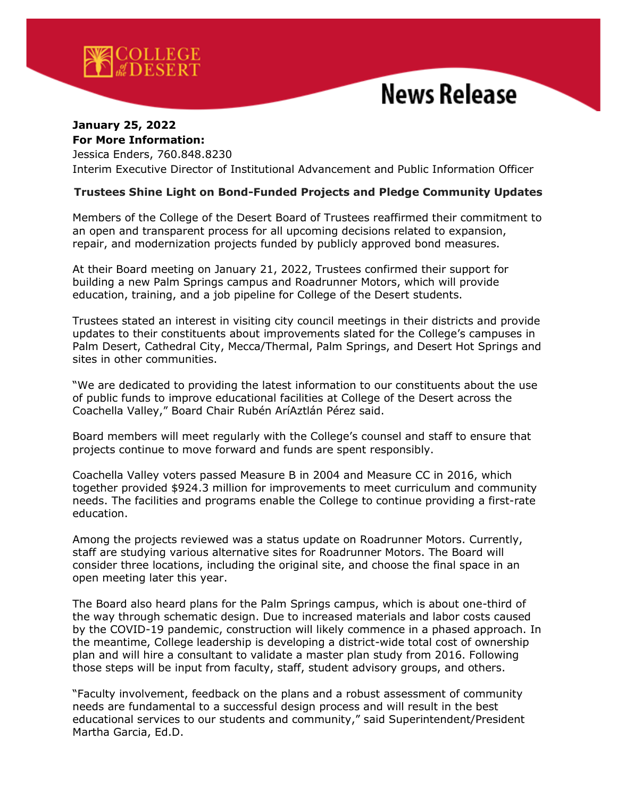

## **News Release**

## **January 25, 2022 For More Information:**

Jessica Enders, 760.848.8230 Interim Executive Director of Institutional Advancement and Public Information Officer

## **Trustees Shine Light on Bond-Funded Projects and Pledge Community Updates**

Members of the College of the Desert Board of Trustees reaffirmed their commitment to an open and transparent process for all upcoming decisions related to expansion, repair, and modernization projects funded by publicly approved bond measures.

At their Board meeting on January 21, 2022, Trustees confirmed their support for building a new Palm Springs campus and Roadrunner Motors, which will provide education, training, and a job pipeline for College of the Desert students.

Trustees stated an interest in visiting city council meetings in their districts and provide updates to their constituents about improvements slated for the College's campuses in Palm Desert, Cathedral City, Mecca/Thermal, Palm Springs, and Desert Hot Springs and sites in other communities.

"We are dedicated to providing the latest information to our constituents about the use of public funds to improve educational facilities at College of the Desert across the Coachella Valley," Board Chair Rubén AríAztlán Pérez said.

Board members will meet regularly with the College's counsel and staff to ensure that projects continue to move forward and funds are spent responsibly.

Coachella Valley voters passed Measure B in 2004 and Measure CC in 2016, which together provided \$924.3 million for improvements to meet curriculum and community needs. The facilities and programs enable the College to continue providing a first-rate education.

Among the projects reviewed was a status update on Roadrunner Motors. Currently, staff are studying various alternative sites for Roadrunner Motors. The Board will consider three locations, including the original site, and choose the final space in an open meeting later this year.

The Board also heard plans for the Palm Springs campus, which is about one-third of the way through schematic design. Due to increased materials and labor costs caused by the COVID-19 pandemic, construction will likely commence in a phased approach. In the meantime, College leadership is developing a district-wide total cost of ownership plan and will hire a consultant to validate a master plan study from 2016. Following those steps will be input from faculty, staff, student advisory groups, and others.

"Faculty involvement, feedback on the plans and a robust assessment of community needs are fundamental to a successful design process and will result in the best educational services to our students and community," said Superintendent/President Martha Garcia, Ed.D.